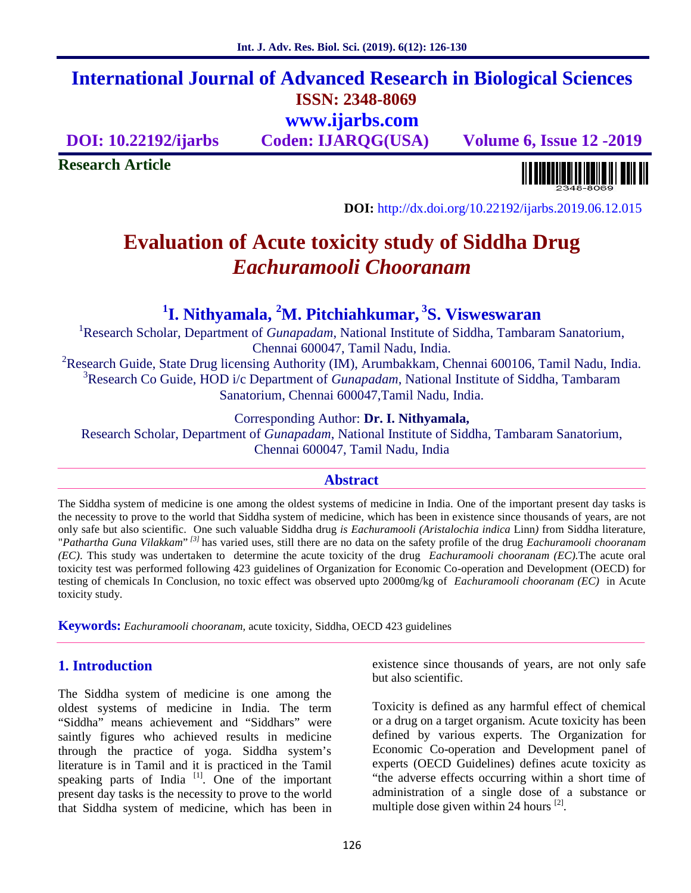# **International Journal of Advanced Research in Biological Sciences ISSN: 2348-8069 www.ijarbs.com**

**DOI: 10.22192/ijarbs Coden: IJARQG(USA) Volume 6, Issue 12 -2019**

**Research Article**

<u> Alban kalendari kalendar pada sebagai pengangkan pada atau pada atau pada atau sebagai pada atau salah pada a</u>

**DOI:** http://dx.doi.org/10.22192/ijarbs.2019.06.12.015

# **Evaluation of Acute toxicity study of Siddha Drug** *Eachuramooli Chooranam*

# **<sup>1</sup>I. Nithyamala, <sup>2</sup>M. Pitchiahkumar, <sup>3</sup>S. Visweswaran**

<sup>1</sup>Research Scholar, Department of *Gunapadam*, National Institute of Siddha, Tambaram Sanatorium, Chennai 600047, Tamil Nadu, India.

<sup>2</sup>Research Guide, State Drug licensing Authority (IM), Arumbakkam, Chennai 600106, Tamil Nadu, India. <sup>3</sup>Research Co Guide, HOD i/c Department of *Gunapadam*, National Institute of Siddha, Tambaram Sanatorium, Chennai 600047,Tamil Nadu, India.

Corresponding Author: **Dr. I. Nithyamala,**

Research Scholar, Department of *Gunapadam*, National Institute of Siddha, Tambaram Sanatorium, Chennai 600047, Tamil Nadu, India

#### **Abstract**

The Siddha system of medicine is one among the oldest systems of medicine in India. One of the important present day tasks is the necessity to prove to the world that Siddha system of medicine, which has been in existence since thousands of years, are not only safe but also scientific. One such valuable Siddha drug *is Eachuramooli (Aristalochia indica* Linn*)* from Siddha literature, "*Pathartha Guna Vilakkam*" *[3]* has varied uses, still there are no data on the safety profile of the drug *Eachuramooli chooranam (EC)*. This study was undertaken to determine the acute toxicity of the drug *Eachuramooli chooranam (EC).*The acute oral toxicity test was performed following 423 guidelines of Organization for Economic Co-operation and Development (OECD) for testing of chemicals In Conclusion, no toxic effect was observed upto 2000mg/kg of *Eachuramooli chooranam (EC)* in Acute toxicity study.

**Keywords:** *Eachuramooli chooranam,* acute toxicity, Siddha, OECD 423 guidelines

# **1. Introduction**

The Siddha system of medicine is one among the oldest systems of medicine in India. The term "Siddha" means achievement and "Siddhars" were saintly figures who achieved results in medicine through the practice of yoga. Siddha system's literature is in Tamil and it is practiced in the Tamil speaking parts of India<sup>[1]</sup>. One of the important present day tasks is the necessity to prove to the world that Siddha system of medicine, which has been in existence since thousands of years, are not only safe but also scientific.

Toxicity is defined as any harmful effect of chemical or a drug on a target organism. Acute toxicity has been defined by various experts. The Organization for Economic Co-operation and Development panel of experts (OECD Guidelines) defines acute toxicity as "the adverse effects occurring within a short time of administration of a single dose of a substance or multiple dose given within 24 hours  $^{[2]}$ .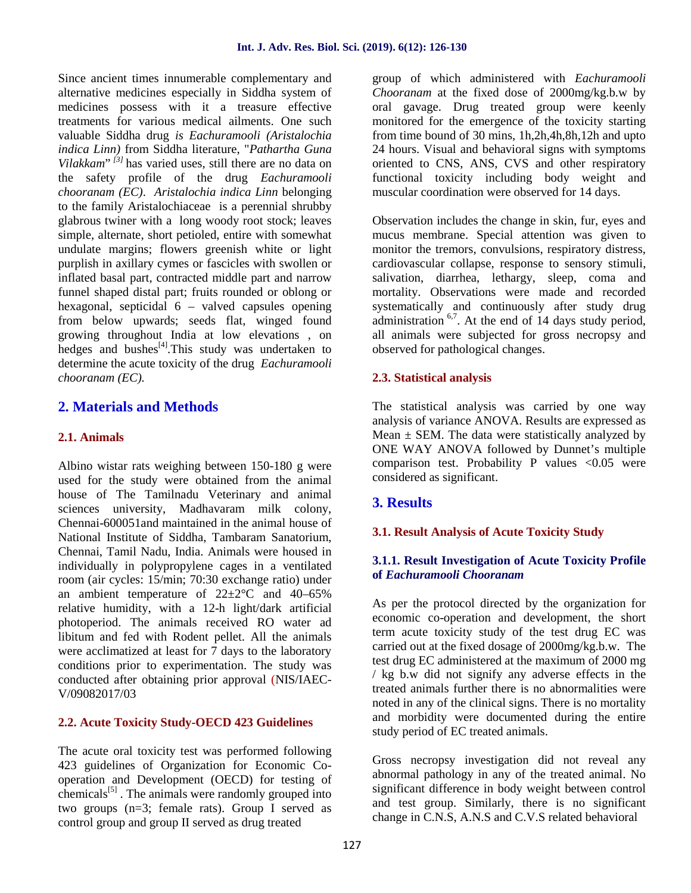Since ancient times innumerable complementary and alternative medicines especially in Siddha system of medicines possess with it a treasure effective treatments for various medical ailments. One such valuable Siddha drug *is Eachuramooli (Aristalochia indica Linn)* from Siddha literature, "*Pathartha Guna Vilakkam*"<sup>*[3]*</sup> has varied uses, still there are no data on c the safety profile of the drug *Eachuramooli chooranam (EC)*. *Aristalochia indica Linn* belonging to the family Aristalochiaceae is a perennial shrubby glabrous twiner with a long woody root stock; leaves simple, alternate, short petioled, entire with somewhat undulate margins; flowers greenish white or light purplish in axillary cymes or fascicles with swollen or inflated basal part, contracted middle part and narrow funnel shaped distal part; fruits rounded or oblong or hexagonal, septicidal 6 – valved capsules opening from below upwards; seeds flat, winged found growing throughout India at low elevations , on hedges and bushes $^{[4]}$ . This study was undertaken to determine the acute toxicity of the drug *Eachuramooli chooranam (EC).*

# **2. Materials and Methods**

#### **2.1. Animals**

Albino wistar rats weighing between 150-180 g were used for the study were obtained from the animal house of The Tamilnadu Veterinary and animal sciences university, Madhavaram milk colony, Chennai-600051and maintained in the animal house of National Institute of Siddha, Tambaram Sanatorium, Chennai, Tamil Nadu, India. Animals were housed in individually in polypropylene cages in a ventilated room (air cycles: 15/min; 70:30 exchange ratio) under an ambient temperature of  $22 \pm 2$ °C and 40–65% relative humidity, with a 12-h light/dark artificial photoperiod. The animals received RO water ad libitum and fed with Rodent pellet. All the animals were acclimatized at least for 7 days to the laboratory conditions prior to experimentation. The study was conducted after obtaining prior approval (NIS/IAEC- V/09082017/03

#### **2.2. Acute Toxicity Study-OECD 423 Guidelines**

The acute oral toxicity test was performed following 423 guidelines of Organization for Economic Co operation and Development (OECD) for testing of chemicals<sup>[5]</sup>. The animals were randomly grouped into two groups (n=3; female rats). Group I served as control group and group II served as drug treated

group of which administered with *Eachuramooli Chooranam* at the fixed dose of 2000mg/kg.b.w by oral gavage. Drug treated group were keenly monitored for the emergence of the toxicity starting from time bound of 30 mins, 1h,2h,4h,8h,12h and upto 24 hours. Visual and behavioral signs with symptoms oriented to CNS, ANS, CVS and other respiratory functional toxicity including body weight and muscular coordination were observed for 14 days.

Observation includes the change in skin, fur, eyes and mucus membrane. Special attention was given to monitor the tremors, convulsions, respiratory distress, cardiovascular collapse, response to sensory stimuli, salivation, diarrhea, lethargy, sleep, coma and mortality. Observations were made and recorded systematically and continuously after study drug administration <sup>6,7</sup>. At the end of 14 days study period, all animals were subjected for gross necropsy and observed for pathological changes.

# **2.3. Statistical analysis**

The statistical analysis was carried by one way analysis of variance ANOVA. Results are expressed as Mean  $\pm$  SEM. The data were statistically analyzed by ONE WAY ANOVA followed by Dunnet's multiple comparison test. Probability P values  $< 0.05$  were considered as significant.

# **3. Results**

#### **3.1. Result Analysis of Acute Toxicity Study**

#### **3.1.1. Result Investigation of Acute Toxicity Profile of** *Eachuramooli Chooranam*

As per the protocol directed by the organization for economic co-operation and development, the short term acute toxicity study of the test drug EC was carried out at the fixed dosage of 2000mg/kg.b.w. The test drug EC administered at the maximum of 2000 mg / kg b.w did not signify any adverse effects in the treated animals further there is no abnormalities were noted in any of the clinical signs. There is no mortality and morbidity were documented during the entire study period of EC treated animals.

Gross necropsy investigation did not reveal any abnormal pathology in any of the treated animal. No significant difference in body weight between control and test group. Similarly, there is no significant change in C.N.S, A.N.S and C.V.S related behavioral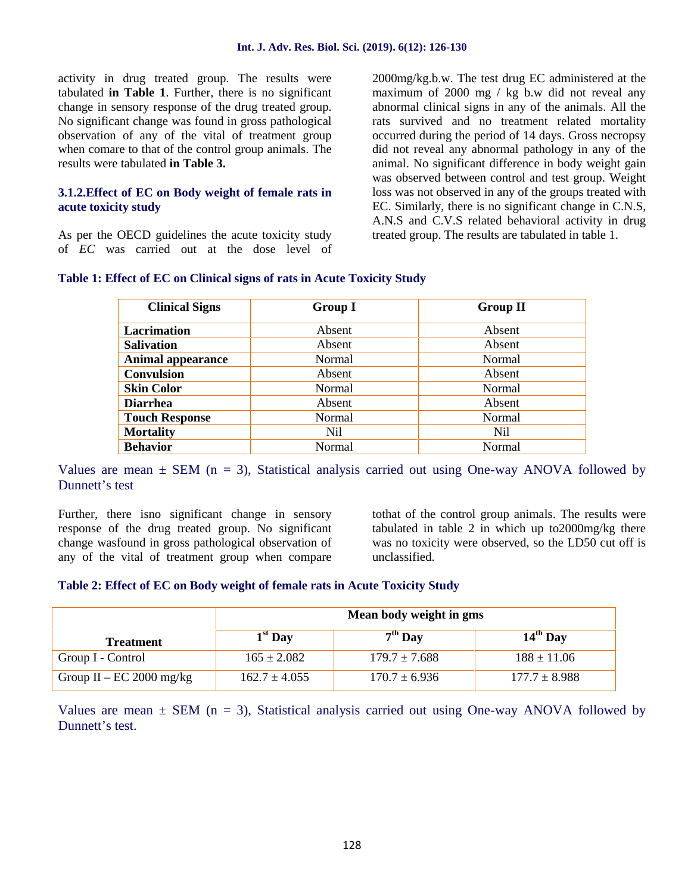activity in drug treated group. The results were tabulated **in Table 1**. Further, there is no significant change in sensory response of the drug treated group. No significant change was found in gross pathological observation of any of the vital of treatment group when comare to that of the control group animals. The results were tabulated **in Table 3.**

#### **3.1.2.Effect of EC on Body weight of female rats in acute toxicity study**

As per the OECD guidelines the acute toxicity study of *EC* was carried out at the dose level of

2000mg/kg.b.w. The test drug EC administered at the maximum of 2000 mg / kg b.w did not reveal any abnormal clinical signs in any of the animals. All the rats survived and no treatment related mortality occurred during the period of 14 days. Gross necropsy did not reveal any abnormal pathology in any of the animal. No significant difference in body weight gain was observed between control and test group. Weight loss was not observed in any of the groups treated with EC. Similarly, there is no significant change in C.N.S, A.N.S and C.V.S related behavioral activity in drug treated group. The results are tabulated in table 1.

| <b>Clinical Signs</b>    | <b>Group I</b> | <b>Group II</b> |
|--------------------------|----------------|-----------------|
| <b>Lacrimation</b>       | Absent         | Absent          |
| <b>Salivation</b>        | Absent         | Absent          |
| <b>Animal appearance</b> | Normal         | Normal          |
| <b>Convulsion</b>        | Absent         | Absent          |
| <b>Skin Color</b>        | Normal         | Normal          |
| <b>Diarrhea</b>          | Absent         | Absent          |
| <b>Touch Response</b>    | Normal         | Normal          |
| <b>Mortality</b>         | Nil            | Nil             |
| <b>Behavior</b>          | Normal         | <b>Normal</b>   |

#### **Table 1: Effect of EC on Clinical signs of rats in Acute Toxicity Study**

Values are mean  $\pm$  SEM (n = 3), Statistical analysis carried out using One-way ANOVA followed by Dunnett's test

Further, there isno significant change in sensory response of the drug treated group. No significant change wasfound in gross pathological observation of any of the vital of treatment group when compare tothat of the control group animals. The results were tabulated in table 2 in which up to2000mg/kg there was no toxicity were observed, so the LD50 cut off is unclassified.

#### **Table 2: Effect of EC on Body weight of female rats in Acute Toxicity Study**

|                          | Mean body weight in gms |                   |                   |
|--------------------------|-------------------------|-------------------|-------------------|
| <b>Treatment</b>         | $1st$ Day               | $7th$ Day         | $14th$ Day        |
| Group I - Control        | $165 \pm 2.082$         | $179.7 \pm 7.688$ | $188 \pm 11.06$   |
| Group II – EC 2000 mg/kg | $162.7 \pm 4.055$       | $170.7 \pm 6.936$ | $177.7 \pm 8.988$ |

Values are mean  $\pm$  SEM (n = 3), Statistical analysis carried out using One-way ANOVA followed by Dunnett's test.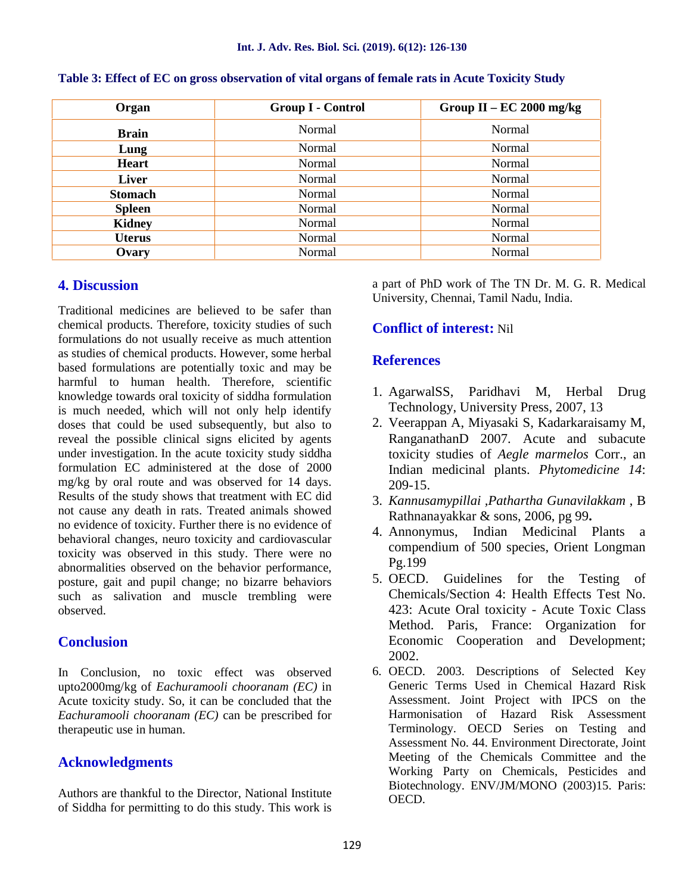| Organ          | Group I - Control | Group II – EC 2000 mg/kg |
|----------------|-------------------|--------------------------|
| <b>Brain</b>   | Normal            | Normal                   |
| Lung           | Normal            | Normal                   |
| <b>Heart</b>   | Normal            | Normal                   |
| Liver          | Normal            | Normal                   |
| <b>Stomach</b> | Normal            | Normal                   |
| <b>Spleen</b>  | Normal            | Normal                   |
| <b>Kidney</b>  | Normal            | Normal                   |
| <b>Uterus</b>  | Normal            | Normal                   |
| Ovary          | Normal            | Normal                   |

**Table 3: Effect of EC on gross observation of vital organs of female rats in Acute Toxicity Study**

#### **4. Discussion**

Traditional medicines are believed to be safer than chemical products. Therefore, toxicity studies of such formulations do not usually receive as much attention as studies of chemical products. However, some herbal based formulations are potentially toxic and may be harmful to human health. Therefore, scientific knowledge towards oral toxicity of siddha formulation is much needed, which will not only help identify doses that could be used subsequently, but also to reveal the possible clinical signs elicited by agents under investigation. In the acute toxicity study siddha formulation EC administered at the dose of 2000 mg/kg by oral route and was observed for 14 days. Results of the study shows that treatment with EC did not cause any death in rats. Treated animals showed no evidence of toxicity. Further there is no evidence of behavioral changes, neuro toxicity and cardiovascular toxicity was observed in this study. There were no abnormalities observed on the behavior performance, posture, gait and pupil change; no bizarre behaviors such as salivation and muscle trembling were observed.

#### **Conclusion**

In Conclusion, no toxic effect was observed upto2000mg/kg of *Eachuramooli chooranam (EC)* in Acute toxicity study. So, it can be concluded that the *Eachuramooli chooranam (EC)* can be prescribed for therapeutic use in human.

#### **Acknowledgments**

Authors are thankful to the Director, National Institute of Siddha for permitting to do this study. This work is a part of PhD work of The TN Dr. M. G. R. Medical University, Chennai, Tamil Nadu, India.

### **Conflict of interest:** Nil

#### **References**

- 1. AgarwalSS, Paridhavi M, Herbal Drug Technology, University Press, 2007, 13
- 2. Veerappan A, Miyasaki S, Kadarkaraisamy M, RanganathanD 2007. Acute and subacute toxicity studies of *Aegle marmelos* Corr., an Indian medicinal plants. *Phytomedicine 14*: 209-15.
- 3. *Kannusamypillai ,Pathartha Gunavilakkam* , B Rathnanayakkar & sons, 2006, pg 99**.**
- 4. Annonymus, Indian Medicinal Plants a compendium of 500 species, Orient Longman Pg.199
- 5. OECD. Guidelines for the Testing of Chemicals/Section 4: Health Effects Test No. 423: Acute Oral toxicity - Acute Toxic Class Method. Paris, France: Organization for Economic Cooperation and Development; 2002.
- 6. OECD. 2003. Descriptions of Selected Key Generic Terms Used in Chemical Hazard Risk Assessment. Joint Project with IPCS on the Harmonisation of Hazard Risk Assessment Terminology. OECD Series on Testing and Assessment No. 44. Environment Directorate, Joint Meeting of the Chemicals Committee and the Working Party on Chemicals, Pesticides and Biotechnology. ENV/JM/MONO (2003)15. Paris: OECD.